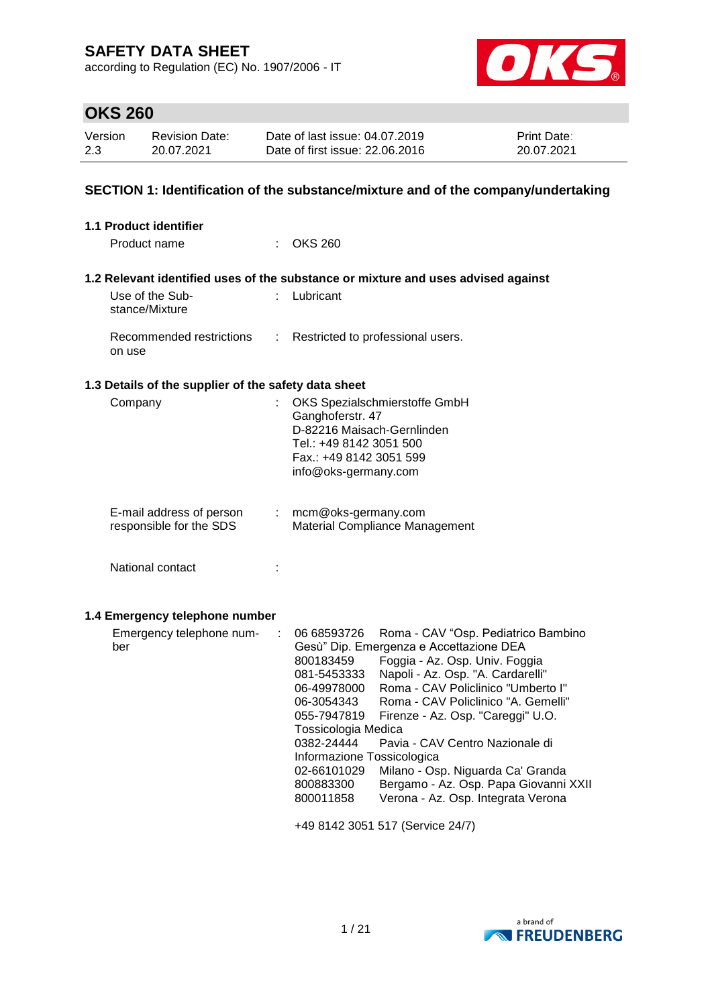according to Regulation (EC) No. 1907/2006 - IT



# **OKS 260**

| Version | <b>Revision Date:</b> | Date of last issue: 04.07.2019  | <b>Print Date:</b> |
|---------|-----------------------|---------------------------------|--------------------|
| 2.3     | 20.07.2021            | Date of first issue: 22,06,2016 | 20.07.2021         |

### **SECTION 1: Identification of the substance/mixture and of the company/undertaking**

| 1.1 Product identifier                                   |                                                                                                                                                                                                                                                                                                                                                                                                                                                                                                                                                                                                                                                                       |  |  |
|----------------------------------------------------------|-----------------------------------------------------------------------------------------------------------------------------------------------------------------------------------------------------------------------------------------------------------------------------------------------------------------------------------------------------------------------------------------------------------------------------------------------------------------------------------------------------------------------------------------------------------------------------------------------------------------------------------------------------------------------|--|--|
| Product name                                             | $\therefore$ OKS 260                                                                                                                                                                                                                                                                                                                                                                                                                                                                                                                                                                                                                                                  |  |  |
|                                                          | 1.2 Relevant identified uses of the substance or mixture and uses advised against                                                                                                                                                                                                                                                                                                                                                                                                                                                                                                                                                                                     |  |  |
| Use of the Sub-<br>stance/Mixture                        | : Lubricant                                                                                                                                                                                                                                                                                                                                                                                                                                                                                                                                                                                                                                                           |  |  |
| Recommended restrictions<br>÷<br>on use                  | Restricted to professional users.                                                                                                                                                                                                                                                                                                                                                                                                                                                                                                                                                                                                                                     |  |  |
| 1.3 Details of the supplier of the safety data sheet     |                                                                                                                                                                                                                                                                                                                                                                                                                                                                                                                                                                                                                                                                       |  |  |
| Company                                                  | OKS Spezialschmierstoffe GmbH<br>Ganghoferstr. 47<br>D-82216 Maisach-Gernlinden<br>Tel.: +49 8142 3051 500<br>Fax.: +49 8142 3051 599<br>info@oks-germany.com                                                                                                                                                                                                                                                                                                                                                                                                                                                                                                         |  |  |
| E-mail address of person<br>÷<br>responsible for the SDS | mcm@oks-germany.com<br>Material Compliance Management                                                                                                                                                                                                                                                                                                                                                                                                                                                                                                                                                                                                                 |  |  |
| National contact<br>÷                                    |                                                                                                                                                                                                                                                                                                                                                                                                                                                                                                                                                                                                                                                                       |  |  |
| 1.4 Emergency telephone number                           |                                                                                                                                                                                                                                                                                                                                                                                                                                                                                                                                                                                                                                                                       |  |  |
| Emergency telephone num-<br>÷<br>ber                     | 06 68593726<br>Roma - CAV "Osp. Pediatrico Bambino<br>Gesù" Dip. Emergenza e Accettazione DEA<br>Foggia - Az. Osp. Univ. Foggia<br>800183459<br>Napoli - Az. Osp. "A. Cardarelli"<br>081-5453333<br>Roma - CAV Policlinico "Umberto I"<br>06-49978000<br>Roma - CAV Policlinico "A. Gemelli"<br>06-3054343<br>055-7947819<br>Firenze - Az. Osp. "Careggi" U.O.<br>Tossicologia Medica<br>0382-24444<br>Pavia - CAV Centro Nazionale di<br>Informazione Tossicologica<br>02-66101029<br>Milano - Osp. Niguarda Ca' Granda<br>Bergamo - Az. Osp. Papa Giovanni XXII<br>800883300<br>Verona - Az. Osp. Integrata Verona<br>800011858<br>+49 8142 3051 517 (Service 24/7) |  |  |

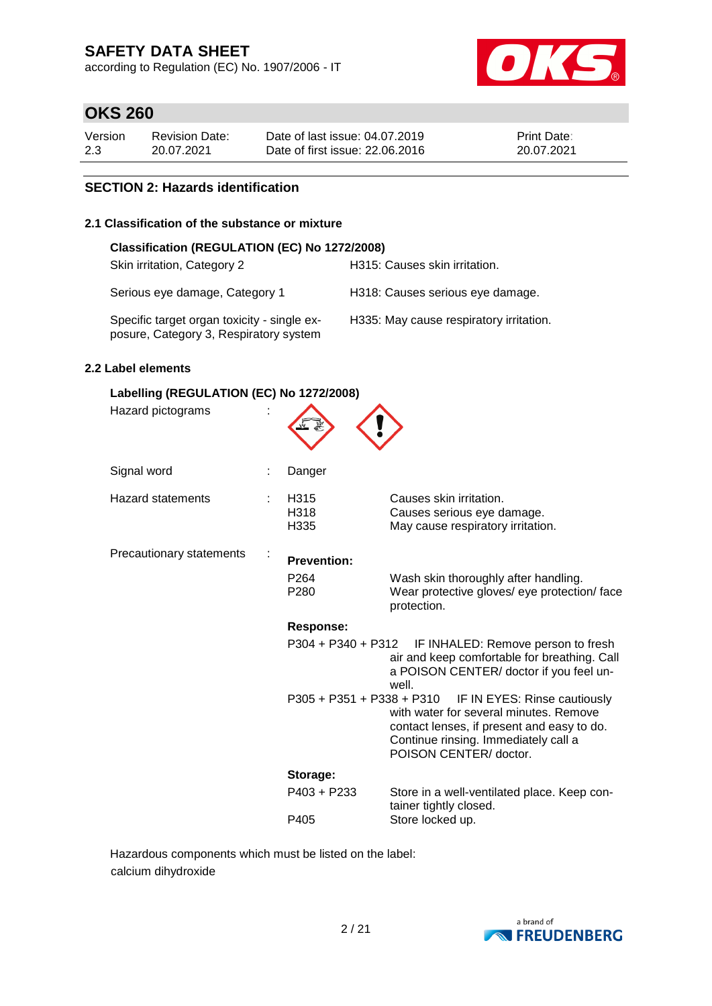according to Regulation (EC) No. 1907/2006 - IT



# **OKS 260**

| Version | <b>Revision Date:</b> | Date of last issue: 04.07.2019  | <b>Print Date:</b> |
|---------|-----------------------|---------------------------------|--------------------|
| 2.3     | 20.07.2021            | Date of first issue: 22,06,2016 | 20.07.2021         |

#### **SECTION 2: Hazards identification**

#### **2.1 Classification of the substance or mixture**

| Classification (REGULATION (EC) No 1272/2008)                                         |                                         |  |  |  |  |  |
|---------------------------------------------------------------------------------------|-----------------------------------------|--|--|--|--|--|
| Skin irritation, Category 2                                                           | H315: Causes skin irritation.           |  |  |  |  |  |
| Serious eye damage, Category 1                                                        | H318: Causes serious eye damage.        |  |  |  |  |  |
| Specific target organ toxicity - single ex-<br>posure, Category 3, Respiratory system | H335: May cause respiratory irritation. |  |  |  |  |  |

#### **2.2 Label elements**

| Labelling (REGULATION (EC) No 1272/2008) |  |                                                            |                                                                                                                                                                                        |  |  |  |
|------------------------------------------|--|------------------------------------------------------------|----------------------------------------------------------------------------------------------------------------------------------------------------------------------------------------|--|--|--|
| Hazard pictograms                        |  |                                                            |                                                                                                                                                                                        |  |  |  |
| Signal word                              |  | Danger                                                     |                                                                                                                                                                                        |  |  |  |
| <b>Hazard statements</b>                 |  | H315<br>H318<br>H335                                       | Causes skin irritation.<br>Causes serious eye damage.<br>May cause respiratory irritation.                                                                                             |  |  |  |
| Precautionary statements                 |  | <b>Prevention:</b><br>P <sub>264</sub><br>P <sub>280</sub> | Wash skin thoroughly after handling.<br>Wear protective gloves/ eye protection/ face<br>protection.                                                                                    |  |  |  |
|                                          |  | <b>Response:</b>                                           |                                                                                                                                                                                        |  |  |  |
|                                          |  | P304 + P340 + P312                                         | IF INHALED: Remove person to fresh<br>air and keep comfortable for breathing. Call<br>a POISON CENTER/ doctor if you feel un-<br>well.                                                 |  |  |  |
|                                          |  | $P305 + P351 + P338 + P310$                                | IF IN EYES: Rinse cautiously<br>with water for several minutes. Remove<br>contact lenses, if present and easy to do.<br>Continue rinsing. Immediately call a<br>POISON CENTER/ doctor. |  |  |  |
|                                          |  | Storage:                                                   |                                                                                                                                                                                        |  |  |  |
|                                          |  | P403 + P233                                                | Store in a well-ventilated place. Keep con-<br>tainer tightly closed.                                                                                                                  |  |  |  |
|                                          |  | P405                                                       | Store locked up.                                                                                                                                                                       |  |  |  |

Hazardous components which must be listed on the label: calcium dihydroxide

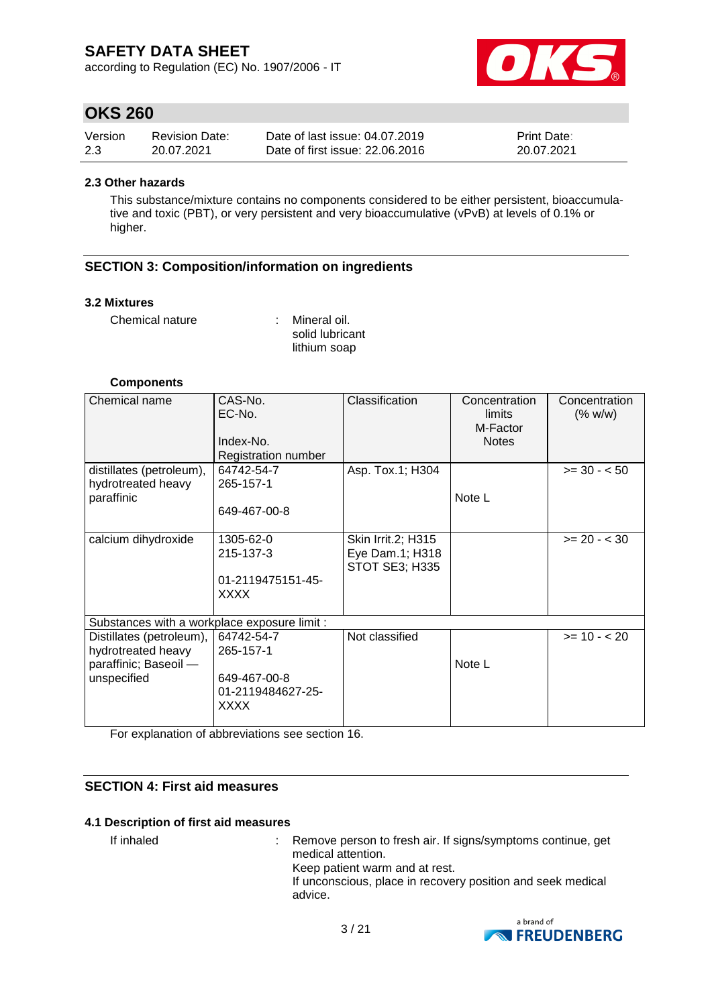according to Regulation (EC) No. 1907/2006 - IT



### **OKS 260**

| Version | <b>Revision Date:</b> | Date of last issue: 04.07.2019  | <b>Print Date:</b> |
|---------|-----------------------|---------------------------------|--------------------|
| 2.3     | 20.07.2021            | Date of first issue: 22,06,2016 | 20.07.2021         |

#### **2.3 Other hazards**

This substance/mixture contains no components considered to be either persistent, bioaccumulative and toxic (PBT), or very persistent and very bioaccumulative (vPvB) at levels of 0.1% or higher.

#### **SECTION 3: Composition/information on ingredients**

#### **3.2 Mixtures**

Chemical nature : Mineral oil.

solid lubricant lithium soap

#### **Components**

| Chemical name                                                                          | CAS-No.<br>EC-No.<br>Index-No.<br>Registration number                       | Classification                                                 | Concentration<br>limits<br>M-Factor<br><b>Notes</b> | Concentration<br>(% w/w) |
|----------------------------------------------------------------------------------------|-----------------------------------------------------------------------------|----------------------------------------------------------------|-----------------------------------------------------|--------------------------|
| distillates (petroleum),                                                               | 64742-54-7                                                                  | Asp. Tox.1; H304                                               |                                                     | $>= 30 - 50$             |
| hydrotreated heavy<br>paraffinic                                                       | 265-157-1<br>649-467-00-8                                                   |                                                                | Note L                                              |                          |
| calcium dihydroxide                                                                    | 1305-62-0<br>215-137-3<br>01-2119475151-45-<br>XXXX                         | Skin Irrit.2; H315<br>Eye Dam.1; H318<br><b>STOT SE3; H335</b> |                                                     | $>= 20 - 30$             |
| Substances with a workplace exposure limit :                                           |                                                                             |                                                                |                                                     |                          |
| Distillates (petroleum),<br>hydrotreated heavy<br>paraffinic; Baseoil -<br>unspecified | 64742-54-7<br>265-157-1<br>649-467-00-8<br>01-2119484627-25-<br><b>XXXX</b> | Not classified                                                 | Note L                                              | $>= 10 - 20$             |

For explanation of abbreviations see section 16.

#### **SECTION 4: First aid measures**

#### **4.1 Description of first aid measures**

If inhaled : Remove person to fresh air. If signs/symptoms continue, get medical attention. Keep patient warm and at rest. If unconscious, place in recovery position and seek medical advice.

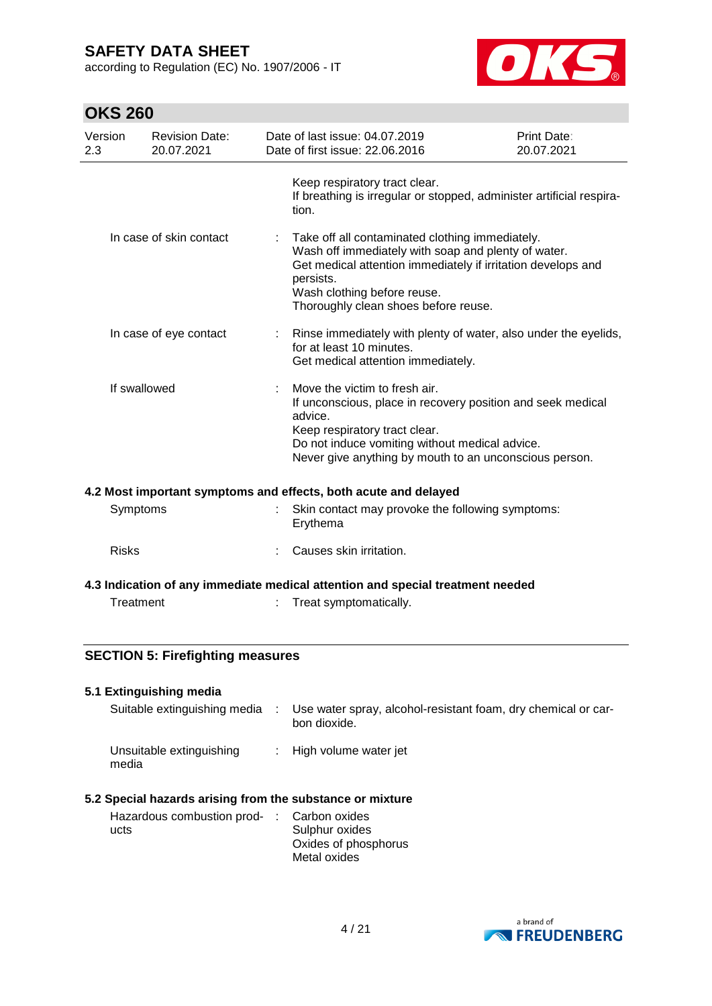according to Regulation (EC) No. 1907/2006 - IT



# **OKS 260**

| Version<br>2.3 | <b>Revision Date:</b><br>20.07.2021 | Date of last issue: 04.07.2019<br>Date of first issue: 22.06.2016                                                                                                                                                                                            | Print Date:<br>20.07.2021 |
|----------------|-------------------------------------|--------------------------------------------------------------------------------------------------------------------------------------------------------------------------------------------------------------------------------------------------------------|---------------------------|
|                |                                     | Keep respiratory tract clear.<br>If breathing is irregular or stopped, administer artificial respira-<br>tion.                                                                                                                                               |                           |
|                | In case of skin contact             | : Take off all contaminated clothing immediately.<br>Wash off immediately with soap and plenty of water.<br>Get medical attention immediately if irritation develops and<br>persists.<br>Wash clothing before reuse.<br>Thoroughly clean shoes before reuse. |                           |
|                | In case of eye contact              | Rinse immediately with plenty of water, also under the eyelids,<br>for at least 10 minutes.<br>Get medical attention immediately.                                                                                                                            |                           |
| If swallowed   |                                     | Move the victim to fresh air.<br>If unconscious, place in recovery position and seek medical<br>advice.<br>Keep respiratory tract clear.<br>Do not induce vomiting without medical advice.<br>Never give anything by mouth to an unconscious person.         |                           |

#### **4.2 Most important symptoms and effects, both acute and delayed**

| Symptoms | Skin contact may provoke the following symptoms:<br>Ervthema |
|----------|--------------------------------------------------------------|
| Risks    | : Causes skin irritation.                                    |

### **4.3 Indication of any immediate medical attention and special treatment needed**

Treatment : Treat symptomatically.

### **SECTION 5: Firefighting measures**

#### **5.1 Extinguishing media**

| Suitable extinguishing media      | Use water spray, alcohol-resistant foam, dry chemical or car-<br>bon dioxide. |
|-----------------------------------|-------------------------------------------------------------------------------|
| Unsuitable extinguishing<br>media | $\therefore$ High volume water jet                                            |

#### **5.2 Special hazards arising from the substance or mixture**

| Hazardous combustion prod- : Carbon oxides |                      |
|--------------------------------------------|----------------------|
| ucts                                       | Sulphur oxides       |
|                                            | Oxides of phosphorus |
|                                            | Metal oxides         |

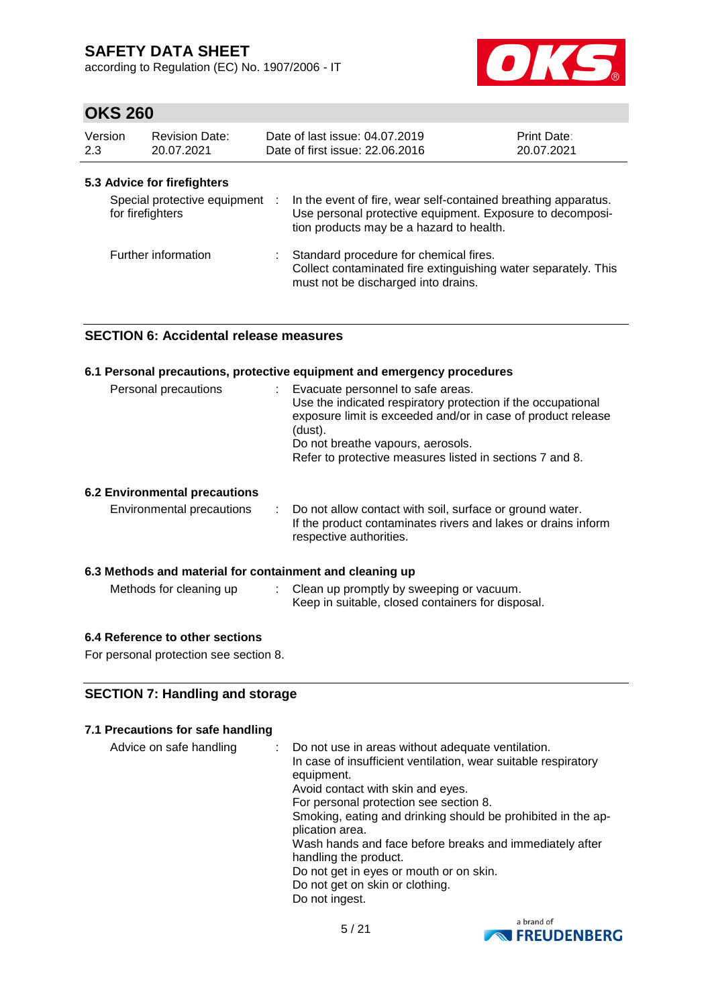according to Regulation (EC) No. 1907/2006 - IT



# **OKS 260**

| Version<br>2.3 |                  | <b>Revision Date:</b><br>20.07.2021 | Date of last issue: 04.07.2019<br>Date of first issue: 22.06.2016                                                                                                       | <b>Print Date:</b><br>20.07.2021 |
|----------------|------------------|-------------------------------------|-------------------------------------------------------------------------------------------------------------------------------------------------------------------------|----------------------------------|
|                |                  | 5.3 Advice for firefighters         |                                                                                                                                                                         |                                  |
|                | for firefighters | Special protective equipment :      | In the event of fire, wear self-contained breathing apparatus.<br>Use personal protective equipment. Exposure to decomposi-<br>tion products may be a hazard to health. |                                  |
|                |                  | Further information                 | Standard procedure for chemical fires.<br>Collect contaminated fire extinguishing water separately. This<br>must not be discharged into drains.                         |                                  |

### **SECTION 6: Accidental release measures**

| 6.1 Personal precautions, protective equipment and emergency procedures |                                                                                                                                                                                                                                                                                 |  |  |  |  |
|-------------------------------------------------------------------------|---------------------------------------------------------------------------------------------------------------------------------------------------------------------------------------------------------------------------------------------------------------------------------|--|--|--|--|
| Personal precautions                                                    | : Evacuate personnel to safe areas.<br>Use the indicated respiratory protection if the occupational<br>exposure limit is exceeded and/or in case of product release<br>(dust).<br>Do not breathe vapours, aerosols.<br>Refer to protective measures listed in sections 7 and 8. |  |  |  |  |
| <b>6.2 Environmental precautions</b>                                    |                                                                                                                                                                                                                                                                                 |  |  |  |  |
| Environmental precautions                                               | : Do not allow contact with soil, surface or ground water.<br>If the product contaminates rivers and lakes or drains inform<br>respective authorities.                                                                                                                          |  |  |  |  |
| 6.3 Methods and material for containment and cleaning up                |                                                                                                                                                                                                                                                                                 |  |  |  |  |
| Methods for cleaning up                                                 | : Clean up promptly by sweeping or vacuum.<br>Keep in suitable, closed containers for disposal.                                                                                                                                                                                 |  |  |  |  |

### **6.4 Reference to other sections**

For personal protection see section 8.

### **SECTION 7: Handling and storage**

#### **7.1 Precautions for safe handling**

| Advice on safe handling | Do not use in areas without adequate ventilation.<br>In case of insufficient ventilation, wear suitable respiratory<br>equipment. |
|-------------------------|-----------------------------------------------------------------------------------------------------------------------------------|
|                         | Avoid contact with skin and eyes.                                                                                                 |
|                         | For personal protection see section 8.                                                                                            |
|                         | Smoking, eating and drinking should be prohibited in the ap-<br>plication area.                                                   |
|                         | Wash hands and face before breaks and immediately after<br>handling the product.                                                  |
|                         | Do not get in eyes or mouth or on skin.                                                                                           |
|                         | Do not get on skin or clothing.                                                                                                   |
|                         | Do not ingest.                                                                                                                    |

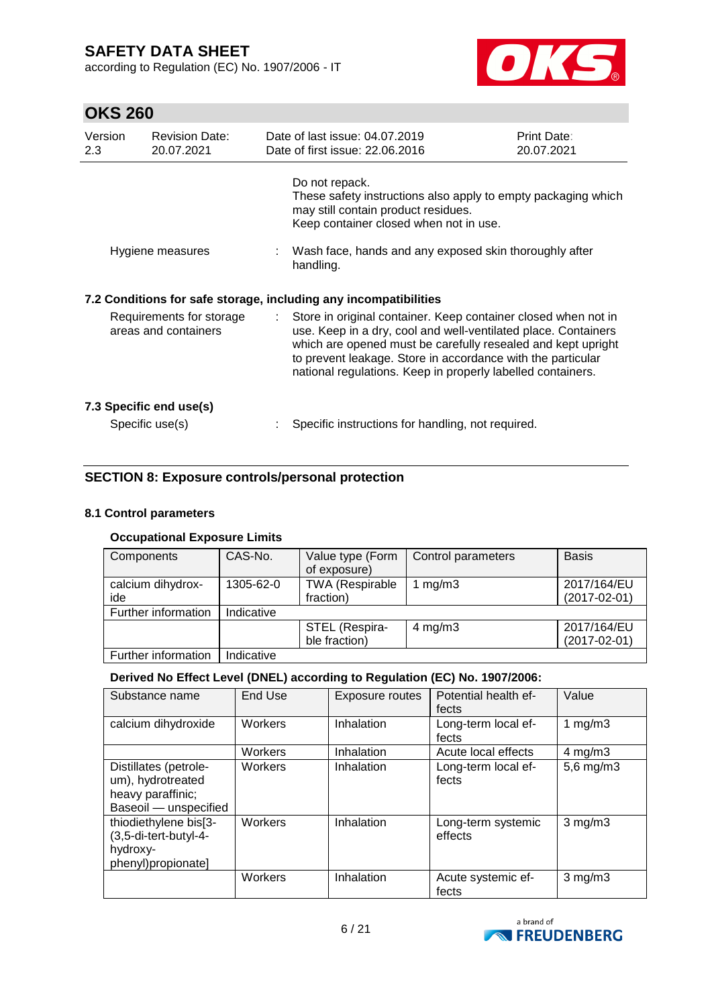according to Regulation (EC) No. 1907/2006 - IT



# **OKS 260**

| Version<br>2.3 | <b>Revision Date:</b><br>20.07.2021              |                               | Date of last issue: 04.07.2019<br>Date of first issue: 22.06.2016                                                                                                                                                                                                                                                              | <b>Print Date:</b><br>20.07.2021 |
|----------------|--------------------------------------------------|-------------------------------|--------------------------------------------------------------------------------------------------------------------------------------------------------------------------------------------------------------------------------------------------------------------------------------------------------------------------------|----------------------------------|
|                |                                                  |                               | Do not repack.<br>These safety instructions also apply to empty packaging which<br>may still contain product residues.<br>Keep container closed when not in use.                                                                                                                                                               |                                  |
|                | Hygiene measures                                 |                               | Wash face, hands and any exposed skin thoroughly after<br>handling.                                                                                                                                                                                                                                                            |                                  |
|                |                                                  |                               | 7.2 Conditions for safe storage, including any incompatibilities                                                                                                                                                                                                                                                               |                                  |
|                | Requirements for storage<br>areas and containers | $\mathcal{I}^{\mathcal{I}}$ . | Store in original container. Keep container closed when not in<br>use. Keep in a dry, cool and well-ventilated place. Containers<br>which are opened must be carefully resealed and kept upright<br>to prevent leakage. Store in accordance with the particular<br>national regulations. Keep in properly labelled containers. |                                  |
|                | 7.3 Specific end use(s)<br>Specific use(s)       |                               | Specific instructions for handling, not required.                                                                                                                                                                                                                                                                              |                                  |
|                |                                                  |                               |                                                                                                                                                                                                                                                                                                                                |                                  |

### **SECTION 8: Exposure controls/personal protection**

#### **8.1 Control parameters**

#### **Occupational Exposure Limits**

| Components          | CAS-No.    | Value type (Form       | Control parameters | <b>Basis</b>       |
|---------------------|------------|------------------------|--------------------|--------------------|
|                     |            | of exposure)           |                    |                    |
| calcium dihydrox-   | 1305-62-0  | <b>TWA (Respirable</b> | mg/m3              | 2017/164/EU        |
| ide                 |            | fraction)              |                    | $(2017 - 02 - 01)$ |
| Further information | Indicative |                        |                    |                    |
|                     |            | STEL (Respira-         | $4$ mg/m $3$       | 2017/164/EU        |
|                     |            | ble fraction)          |                    | $(2017 - 02 - 01)$ |
| Further information | Indicative |                        |                    |                    |

#### **Derived No Effect Level (DNEL) according to Regulation (EC) No. 1907/2006:**

| Substance name                                                                           | End Use        | Exposure routes | Potential health ef-<br>fects | Value            |
|------------------------------------------------------------------------------------------|----------------|-----------------|-------------------------------|------------------|
| calcium dihydroxide                                                                      | Workers        | Inhalation      | Long-term local ef-<br>fects  | 1 $mg/m3$        |
|                                                                                          | Workers        | Inhalation      | Acute local effects           | $4 \text{ mg/m}$ |
| Distillates (petrole-<br>um), hydrotreated<br>heavy paraffinic;<br>Baseoil - unspecified | Workers        | Inhalation      | Long-term local ef-<br>fects  | $5,6$ mg/m $3$   |
| thiodiethylene bis[3-<br>(3,5-di-tert-butyl-4-<br>hydroxy-<br>phenyl)propionate]         | <b>Workers</b> | Inhalation      | Long-term systemic<br>effects | $3$ mg/m $3$     |
|                                                                                          | Workers        | Inhalation      | Acute systemic ef-<br>fects   | $3$ mg/m $3$     |

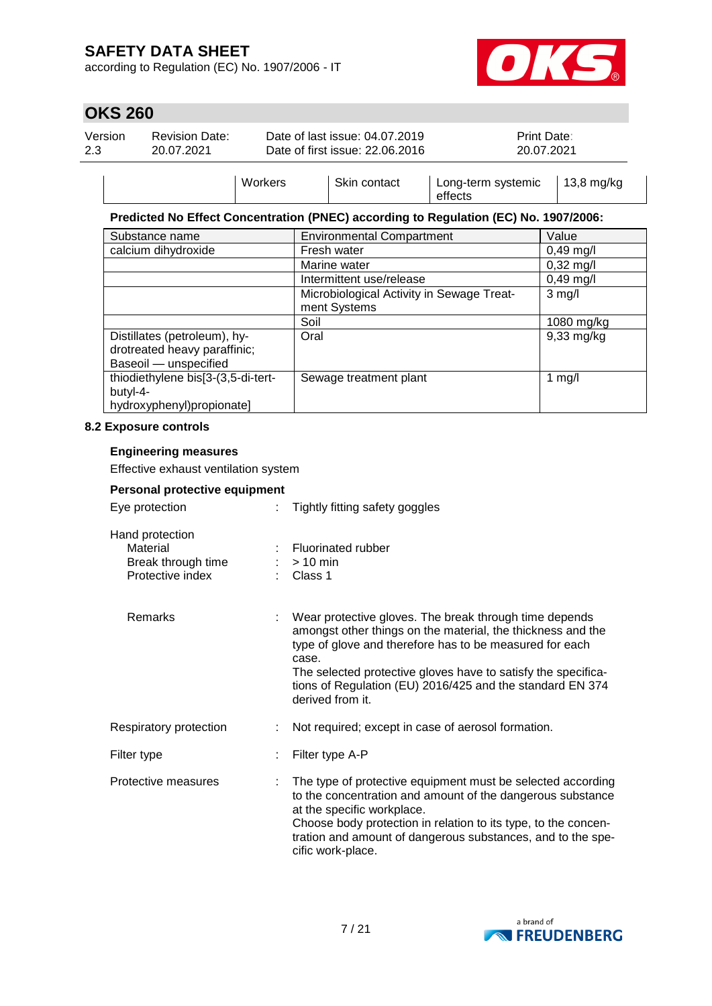according to Regulation (EC) No. 1907/2006 - IT



# **OKS 260**

| Version<br>2.3 | <b>Revision Date:</b><br>20.07.2021 |         | Date of last issue: 04.07.2019<br>Date of first issue: 22.06.2016 | Print Date:<br>20.07.2021     |                      |
|----------------|-------------------------------------|---------|-------------------------------------------------------------------|-------------------------------|----------------------|
|                |                                     | Workers | Skin contact                                                      | Long-term systemic<br>effects | $13,8 \text{ mg/kg}$ |

#### **Predicted No Effect Concentration (PNEC) according to Regulation (EC) No. 1907/2006:**

| Substance name                     | <b>Environmental Compartment</b>          | Value               |
|------------------------------------|-------------------------------------------|---------------------|
| calcium dihydroxide                | Fresh water                               | $0,49$ mg/l         |
|                                    | Marine water                              | $0,32 \text{ mg/l}$ |
|                                    | Intermittent use/release                  | $0,49$ mg/l         |
|                                    | Microbiological Activity in Sewage Treat- | $3$ mg/l            |
|                                    | ment Systems                              |                     |
|                                    | Soil                                      | 1080 mg/kg          |
| Distillates (petroleum), hy-       | Oral                                      | $9,33$ mg/kg        |
| drotreated heavy paraffinic;       |                                           |                     |
| Baseoil - unspecified              |                                           |                     |
| thiodiethylene bis[3-(3,5-di-tert- | Sewage treatment plant                    | 1 mg/l              |
| butyl-4-                           |                                           |                     |
| hydroxyphenyl)propionate]          |                                           |                     |

#### **8.2 Exposure controls**

#### **Engineering measures**

Effective exhaust ventilation system

| Personal protective equipment                                         |  |                                                                                                                                                                                                                                                                                                                                             |  |  |  |
|-----------------------------------------------------------------------|--|---------------------------------------------------------------------------------------------------------------------------------------------------------------------------------------------------------------------------------------------------------------------------------------------------------------------------------------------|--|--|--|
| Eye protection                                                        |  | Tightly fitting safety goggles                                                                                                                                                                                                                                                                                                              |  |  |  |
| Hand protection<br>Material<br>Break through time<br>Protective index |  | <b>Fluorinated rubber</b><br>$:$ > 10 min<br>Class 1                                                                                                                                                                                                                                                                                        |  |  |  |
| Remarks                                                               |  | Wear protective gloves. The break through time depends<br>amongst other things on the material, the thickness and the<br>type of glove and therefore has to be measured for each<br>case.<br>The selected protective gloves have to satisfy the specifica-<br>tions of Regulation (EU) 2016/425 and the standard EN 374<br>derived from it. |  |  |  |
| Respiratory protection                                                |  | Not required; except in case of aerosol formation.                                                                                                                                                                                                                                                                                          |  |  |  |
| Filter type                                                           |  | Filter type A-P                                                                                                                                                                                                                                                                                                                             |  |  |  |
| Protective measures                                                   |  | The type of protective equipment must be selected according<br>to the concentration and amount of the dangerous substance<br>at the specific workplace.<br>Choose body protection in relation to its type, to the concen-<br>tration and amount of dangerous substances, and to the spe-<br>cific work-place.                               |  |  |  |

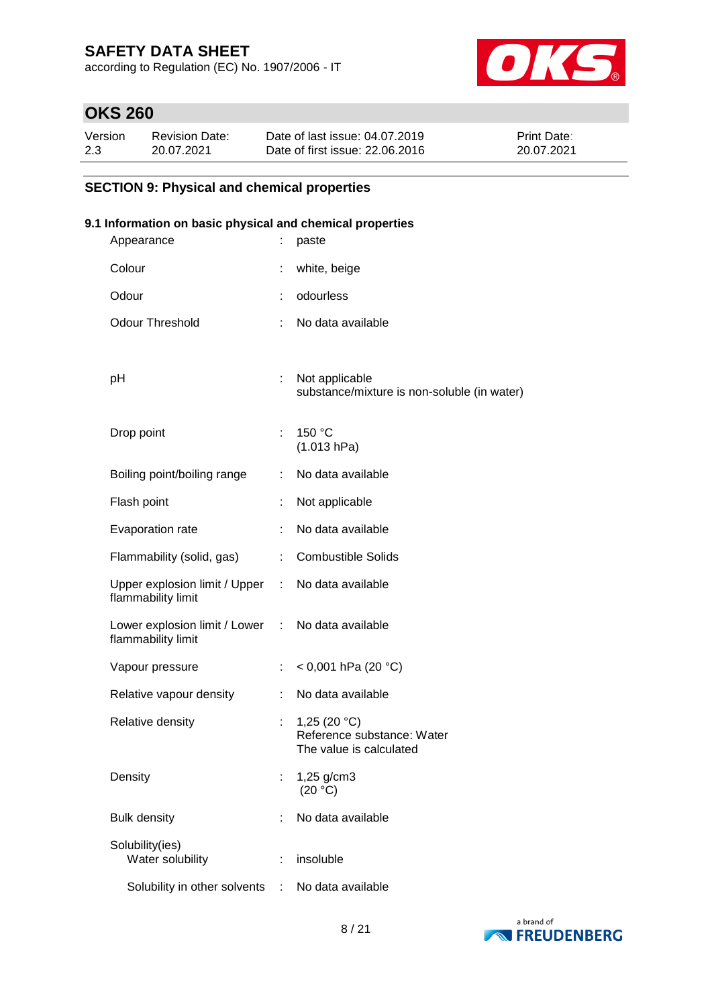according to Regulation (EC) No. 1907/2006 - IT



# **OKS 260**

| Version | <b>Revision Date:</b> | Date of last issue: 04.07.2019  | <b>Print Date:</b> |
|---------|-----------------------|---------------------------------|--------------------|
| 2.3     | 20.07.2021            | Date of first issue: 22,06,2016 | 20.07.2021         |

### **SECTION 9: Physical and chemical properties**

#### **9.1 Information on basic physical and chemical properties**

| Appearance                                                              | ÷  | paste                                                                   |
|-------------------------------------------------------------------------|----|-------------------------------------------------------------------------|
| Colour                                                                  |    | white, beige                                                            |
| Odour                                                                   | ÷  | odourless                                                               |
| <b>Odour Threshold</b>                                                  | ÷  | No data available                                                       |
|                                                                         |    |                                                                         |
| рH                                                                      |    | Not applicable<br>substance/mixture is non-soluble (in water)           |
|                                                                         |    |                                                                         |
| Drop point                                                              | ÷. | 150 °C<br>(1.013 hPa)                                                   |
| Boiling point/boiling range                                             | t. | No data available                                                       |
| Flash point                                                             | ÷. | Not applicable                                                          |
| Evaporation rate                                                        | ÷  | No data available                                                       |
| Flammability (solid, gas)                                               | ÷  | <b>Combustible Solids</b>                                               |
| Upper explosion limit / Upper : No data available<br>flammability limit |    |                                                                         |
| Lower explosion limit / Lower : No data available<br>flammability limit |    |                                                                         |
| Vapour pressure                                                         |    | < 0,001 hPa (20 °C)                                                     |
| Relative vapour density                                                 | ÷  | No data available                                                       |
| Relative density                                                        |    | 1,25 $(20 °C)$<br>Reference substance: Water<br>The value is calculated |
| Density                                                                 |    | 1,25 g/cm3<br>(20 °C)                                                   |
| <b>Bulk density</b>                                                     | t  | No data available                                                       |
| Solubility(ies)<br>Water solubility                                     |    | insoluble                                                               |
| Solubility in other solvents                                            |    | No data available                                                       |
|                                                                         |    |                                                                         |

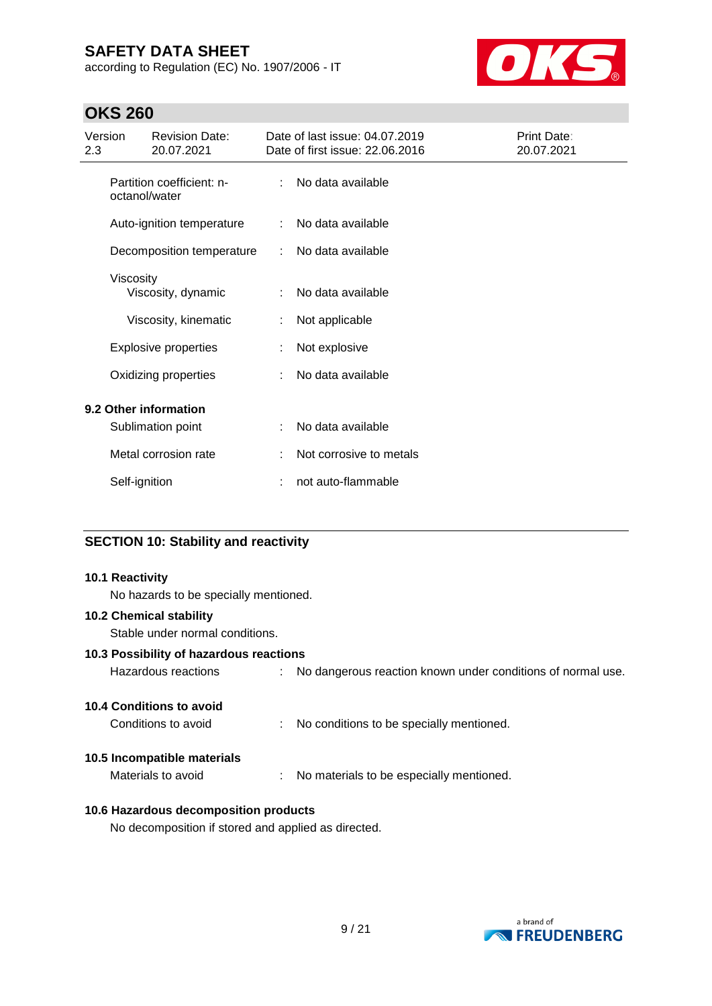according to Regulation (EC) No. 1907/2006 - IT



### **OKS 260**

| Version<br>2.3 |               | <b>Revision Date:</b><br>20.07.2021        |    | Date of last issue: 04.07.2019<br>Date of first issue: 22.06.2016 | Print Date:<br>20.07.2021 |
|----------------|---------------|--------------------------------------------|----|-------------------------------------------------------------------|---------------------------|
|                | octanol/water | Partition coefficient: n-                  |    | No data available                                                 |                           |
|                |               | Auto-ignition temperature                  | ÷. | No data available                                                 |                           |
|                |               | Decomposition temperature                  |    | No data available                                                 |                           |
|                | Viscosity     | Viscosity, dynamic                         |    | No data available                                                 |                           |
|                |               | Viscosity, kinematic                       |    | Not applicable                                                    |                           |
|                |               | <b>Explosive properties</b>                |    | Not explosive                                                     |                           |
|                |               | Oxidizing properties                       |    | No data available                                                 |                           |
|                |               | 9.2 Other information<br>Sublimation point |    | No data available                                                 |                           |
|                |               | Metal corrosion rate                       | ÷  | Not corrosive to metals                                           |                           |
|                | Self-ignition |                                            | t  | not auto-flammable                                                |                           |

#### **SECTION 10: Stability and reactivity**

#### **10.1 Reactivity**

No hazards to be specially mentioned.

#### **10.2 Chemical stability**

Stable under normal conditions.

#### **10.3 Possibility of hazardous reactions**

| Hazardous reactions |  | No dangerous reaction known under conditions of normal use. |
|---------------------|--|-------------------------------------------------------------|
|---------------------|--|-------------------------------------------------------------|

#### **10.4 Conditions to avoid**

| Conditions to avoid |  | No conditions to be specially mentioned. |
|---------------------|--|------------------------------------------|
|---------------------|--|------------------------------------------|

#### **10.5 Incompatible materials**

Materials to avoid : No materials to be especially mentioned.

#### **10.6 Hazardous decomposition products**

No decomposition if stored and applied as directed.

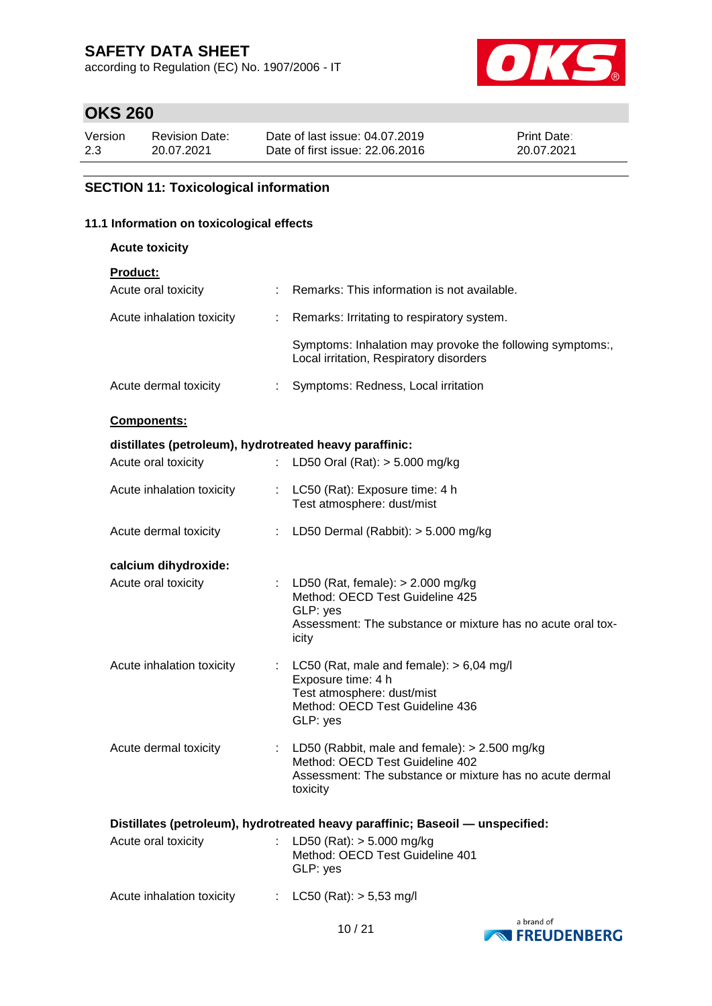according to Regulation (EC) No. 1907/2006 - IT



# **OKS 260**

| Version | Revision Date: | Date of last issue: 04.07.2019  | <b>Print Date:</b> |
|---------|----------------|---------------------------------|--------------------|
| 2.3     | 20.07.2021     | Date of first issue: 22,06,2016 | 20.07.2021         |

#### **SECTION 11: Toxicological information**

#### **11.1 Information on toxicological effects**

| <b>Acute toxicity</b>                                   |    |                                                                                                                                                              |
|---------------------------------------------------------|----|--------------------------------------------------------------------------------------------------------------------------------------------------------------|
| <b>Product:</b>                                         |    |                                                                                                                                                              |
| Acute oral toxicity                                     |    | : Remarks: This information is not available.                                                                                                                |
| Acute inhalation toxicity                               | ÷. | Remarks: Irritating to respiratory system.                                                                                                                   |
|                                                         |    | Symptoms: Inhalation may provoke the following symptoms:,<br>Local irritation, Respiratory disorders                                                         |
| Acute dermal toxicity                                   | ÷. | Symptoms: Redness, Local irritation                                                                                                                          |
| <b>Components:</b>                                      |    |                                                                                                                                                              |
| distillates (petroleum), hydrotreated heavy paraffinic: |    |                                                                                                                                                              |
| Acute oral toxicity                                     |    | LD50 Oral (Rat): $> 5.000$ mg/kg                                                                                                                             |
| Acute inhalation toxicity                               |    | : LC50 (Rat): Exposure time: 4 h<br>Test atmosphere: dust/mist                                                                                               |
| Acute dermal toxicity                                   |    | LD50 Dermal (Rabbit): $> 5.000$ mg/kg                                                                                                                        |
| calcium dihydroxide:                                    |    |                                                                                                                                                              |
| Acute oral toxicity                                     |    | : LD50 (Rat, female): $> 2.000$ mg/kg<br>Method: OECD Test Guideline 425<br>GLP: yes<br>Assessment: The substance or mixture has no acute oral tox-<br>icity |
| Acute inhalation toxicity                               |    | LC50 (Rat, male and female): $> 6,04$ mg/l<br>Exposure time: 4 h<br>Test atmosphere: dust/mist<br>Method: OECD Test Guideline 436<br>GLP: yes                |
| Acute dermal toxicity                                   |    | LD50 (Rabbit, male and female): $> 2.500$ mg/kg                                                                                                              |

Method: OECD Test Guideline 402 Assessment: The substance or mixture has no acute dermal toxicity

| Distillates (petroleum), hydrotreated heavy paraffinic; Baseoil — unspecified: |  |                                                                            |  |  |  |
|--------------------------------------------------------------------------------|--|----------------------------------------------------------------------------|--|--|--|
| Acute oral toxicity                                                            |  | LD50 (Rat): $> 5.000$ mg/kg<br>Method: OECD Test Guideline 401<br>GLP: yes |  |  |  |
| Acute inhalation toxicity                                                      |  | : $LC50$ (Rat): $> 5.53$ mg/l                                              |  |  |  |

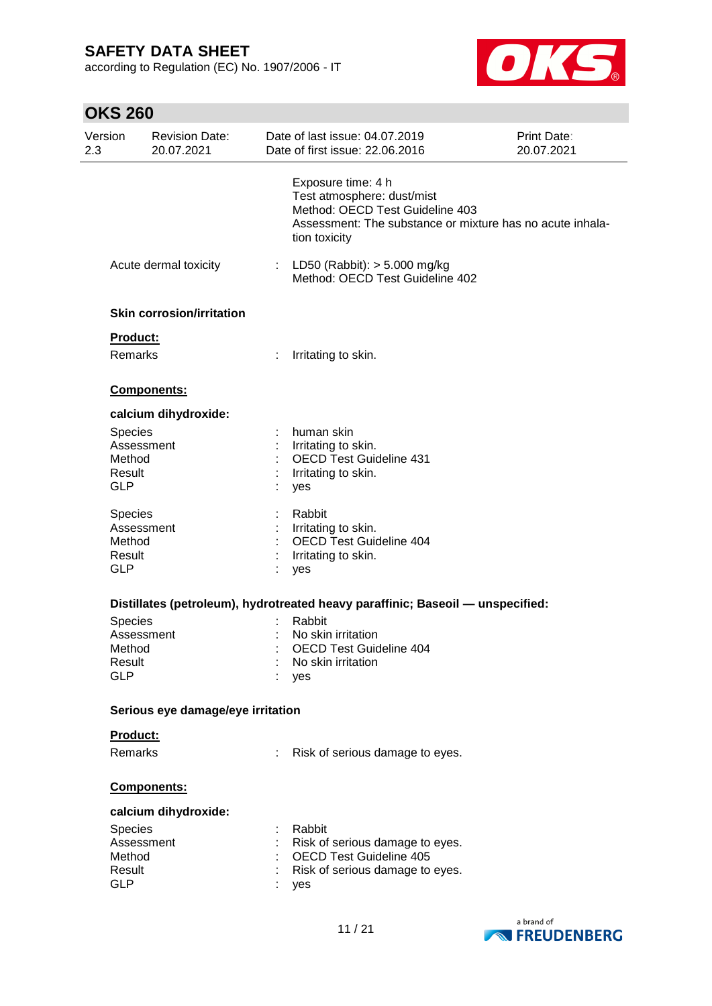according to Regulation (EC) No. 1907/2006 - IT



# **OKS 260**

| Version<br>2.3                                   | <b>Revision Date:</b><br>20.07.2021 | Date of last issue: 04.07.2019<br>Date of first issue: 22.06.2016                                                                                                 | Print Date:<br>20.07.2021 |
|--------------------------------------------------|-------------------------------------|-------------------------------------------------------------------------------------------------------------------------------------------------------------------|---------------------------|
|                                                  |                                     | Exposure time: 4 h<br>Test atmosphere: dust/mist<br>Method: OECD Test Guideline 403<br>Assessment: The substance or mixture has no acute inhala-<br>tion toxicity |                           |
|                                                  | Acute dermal toxicity               | : LD50 (Rabbit): $> 5.000$ mg/kg<br>Method: OECD Test Guideline 402                                                                                               |                           |
|                                                  | <b>Skin corrosion/irritation</b>    |                                                                                                                                                                   |                           |
|                                                  | Product:                            |                                                                                                                                                                   |                           |
|                                                  | Remarks                             | Irritating to skin.                                                                                                                                               |                           |
|                                                  | Components:                         |                                                                                                                                                                   |                           |
|                                                  | calcium dihydroxide:                |                                                                                                                                                                   |                           |
| <b>Species</b><br>Method<br>Result<br><b>GLP</b> | Assessment                          | human skin<br>Irritating to skin.<br><b>OECD Test Guideline 431</b><br>Irritating to skin.<br>yes                                                                 |                           |
| Species<br>Method<br>Result<br><b>GLP</b>        | Assessment                          | Rabbit<br>Irritating to skin.<br>OECD Test Guideline 404<br>Irritating to skin.<br>yes                                                                            |                           |
|                                                  |                                     | Distillates (petroleum), hydrotreated heavy paraffinic; Baseoil - unspecified:                                                                                    |                           |
| Species                                          |                                     | Rabbit                                                                                                                                                            |                           |
|                                                  | Assessment                          | No skin irritation                                                                                                                                                |                           |
| Method                                           |                                     | <b>OECD Test Guideline 404</b>                                                                                                                                    |                           |
| Result<br><b>GLP</b>                             |                                     | No skin irritation<br>yes                                                                                                                                         |                           |
|                                                  | Serious eye damage/eye irritation   |                                                                                                                                                                   |                           |
|                                                  | Product:                            |                                                                                                                                                                   |                           |
|                                                  | Remarks                             |                                                                                                                                                                   |                           |
|                                                  |                                     | Risk of serious damage to eyes.                                                                                                                                   |                           |
|                                                  | Components:                         |                                                                                                                                                                   |                           |
|                                                  | calcium dihydroxide:                |                                                                                                                                                                   |                           |
| Species                                          |                                     | Rabbit                                                                                                                                                            |                           |
|                                                  | Assessment                          | Risk of serious damage to eyes.                                                                                                                                   |                           |
| Method                                           |                                     | <b>OECD Test Guideline 405</b>                                                                                                                                    |                           |
| Result                                           |                                     | Risk of serious damage to eyes.                                                                                                                                   |                           |
| <b>GLP</b>                                       |                                     | yes                                                                                                                                                               |                           |
|                                                  |                                     |                                                                                                                                                                   |                           |

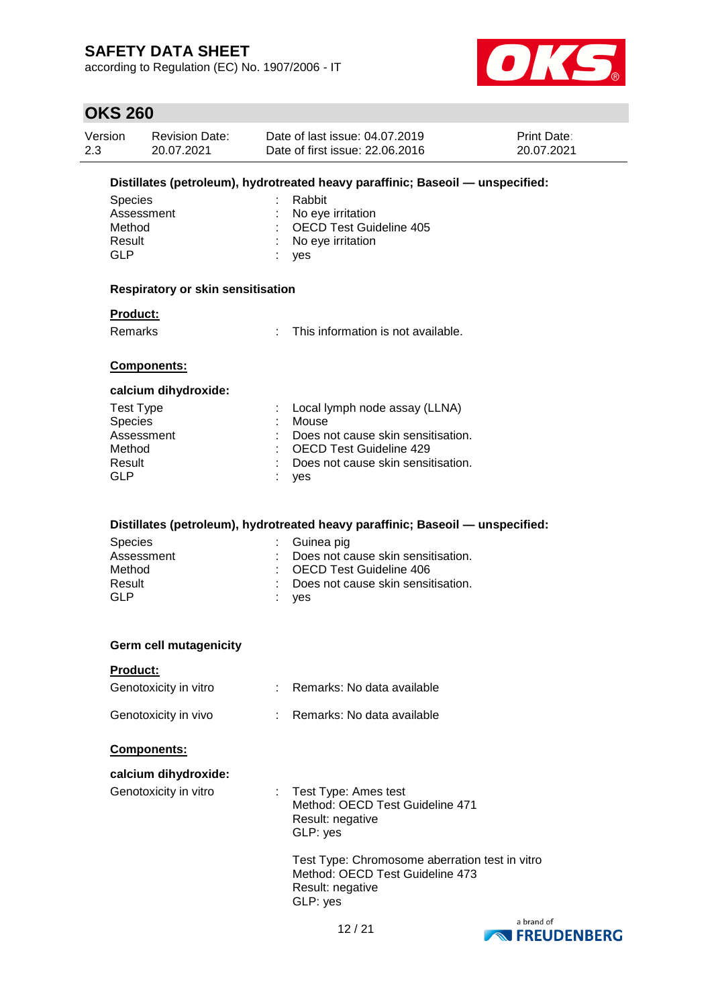according to Regulation (EC) No. 1907/2006 - IT



### **OKS 260**

| Version | <b>Revision Date:</b> | Date of last issue: 04.07.2019  | <b>Print Date:</b> |
|---------|-----------------------|---------------------------------|--------------------|
| 2.3     | 20.07.2021            | Date of first issue: 22,06,2016 | 20.07.2021         |

#### **Distillates (petroleum), hydrotreated heavy paraffinic; Baseoil — unspecified:**

| Species    | : Rabbit                  |
|------------|---------------------------|
| Assessment | : No eye irritation       |
| Method     | : OECD Test Guideline 405 |
| Result     | : No eye irritation       |
| GI P       | $:$ ves                   |

#### **Respiratory or skin sensitisation**

#### **Product:**

Remarks : This information is not available.

#### **Components:**

#### **calcium dihydroxide:**

| Test Type      | : Local lymph node assay (LLNA)    |
|----------------|------------------------------------|
| <b>Species</b> | Mouse                              |
| Assessment     | Does not cause skin sensitisation. |
| Method         | : OECD Test Guideline 429          |
| Result         | Does not cause skin sensitisation. |
| GLP            | : yes                              |

#### **Distillates (petroleum), hydrotreated heavy paraffinic; Baseoil — unspecified:**

| <b>Species</b> | : Guinea pig                         |
|----------------|--------------------------------------|
| Assessment     | : Does not cause skin sensitisation. |
| Method         | : OECD Test Guideline 406            |
| Result         | : Does not cause skin sensitisation. |
| GLP            | ves                                  |

#### **Germ cell mutagenicity**

#### **Product:**

| Genotoxicity in vitro | Remarks: No data available |
|-----------------------|----------------------------|
| Genotoxicity in vivo  | Remarks: No data available |

#### **Components:**

| calcium dihydroxide:  |                                                                                                       |
|-----------------------|-------------------------------------------------------------------------------------------------------|
| Genotoxicity in vitro | : Test Type: Ames test<br>Method: OECD Test Guideline 471<br>Result: negative<br>GLP: yes             |
|                       | Test Type: Chromosome aberration test in vitro<br>Method: OECD Test Guideline 473<br>Result: negative |

GLP: yes

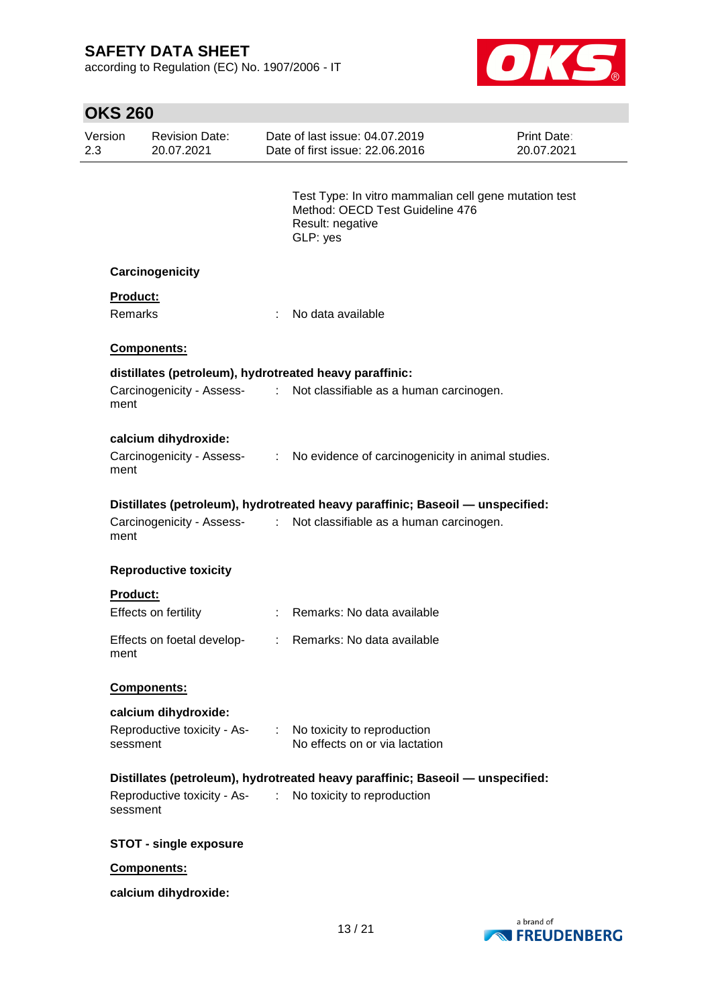according to Regulation (EC) No. 1907/2006 - IT



| <b>OKS 260</b> |                 |                                     |   |                                                                                                                          |                                  |
|----------------|-----------------|-------------------------------------|---|--------------------------------------------------------------------------------------------------------------------------|----------------------------------|
| Version<br>2.3 |                 | <b>Revision Date:</b><br>20.07.2021 |   | Date of last issue: 04.07.2019<br>Date of first issue: 22.06.2016                                                        | <b>Print Date:</b><br>20.07.2021 |
|                |                 |                                     |   | Test Type: In vitro mammalian cell gene mutation test<br>Method: OECD Test Guideline 476<br>Result: negative<br>GLP: yes |                                  |
|                |                 | Carcinogenicity                     |   |                                                                                                                          |                                  |
|                | <b>Product:</b> |                                     |   |                                                                                                                          |                                  |
|                | Remarks         |                                     | ÷ | No data available                                                                                                        |                                  |
|                |                 | <b>Components:</b>                  |   |                                                                                                                          |                                  |
|                |                 |                                     |   | distillates (petroleum), hydrotreated heavy paraffinic:                                                                  |                                  |
|                | ment            |                                     |   | Carcinogenicity - Assess- : Not classifiable as a human carcinogen.                                                      |                                  |
|                |                 | calcium dihydroxide:                |   |                                                                                                                          |                                  |
|                | ment            |                                     |   | Carcinogenicity - Assess- : No evidence of carcinogenicity in animal studies.                                            |                                  |
|                |                 |                                     |   | Distillates (petroleum), hydrotreated heavy paraffinic; Baseoil - unspecified:                                           |                                  |
|                | ment            |                                     |   | Carcinogenicity - Assess- : Not classifiable as a human carcinogen.                                                      |                                  |
|                |                 | <b>Reproductive toxicity</b>        |   |                                                                                                                          |                                  |
|                | <b>Product:</b> |                                     |   |                                                                                                                          |                                  |
|                |                 | Effects on fertility                |   | : Remarks: No data available                                                                                             |                                  |
|                | ment            | Effects on foetal develop-          |   | : Remarks: No data available                                                                                             |                                  |
|                |                 | Components:                         |   |                                                                                                                          |                                  |
|                |                 | calcium dihydroxide:                |   |                                                                                                                          |                                  |
|                | sessment        | Reproductive toxicity - As-         |   | : No toxicity to reproduction<br>No effects on or via lactation                                                          |                                  |
|                |                 |                                     |   | Distillates (petroleum), hydrotreated heavy paraffinic; Baseoil - unspecified:                                           |                                  |
|                | sessment        |                                     |   | Reproductive toxicity - As- : No toxicity to reproduction                                                                |                                  |
|                |                 | <b>STOT - single exposure</b>       |   |                                                                                                                          |                                  |
|                |                 | Components:                         |   |                                                                                                                          |                                  |
|                |                 | calcium dihydroxide:                |   |                                                                                                                          |                                  |

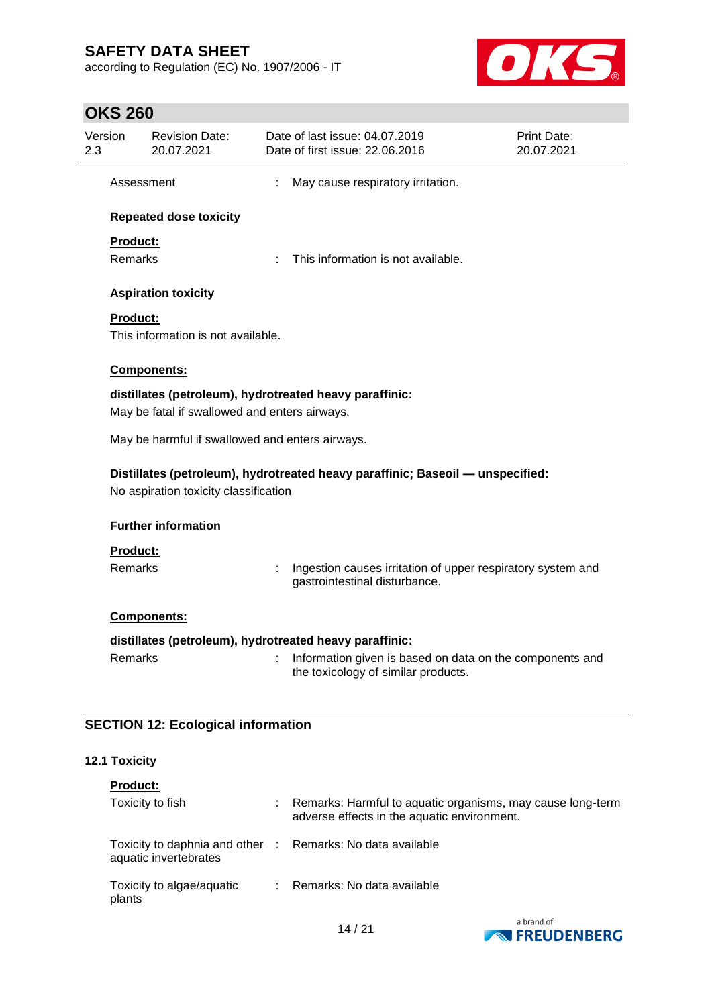according to Regulation (EC) No. 1907/2006 - IT



# **OKS 260**

| Version<br><b>Revision Date:</b><br>20.07.2021  | Date of last issue: 04.07.2019<br>Date of first issue: 22.06.2016                               | Print Date:<br>20.07.2021 |
|-------------------------------------------------|-------------------------------------------------------------------------------------------------|---------------------------|
| Assessment                                      | May cause respiratory irritation.                                                               |                           |
| <b>Repeated dose toxicity</b>                   |                                                                                                 |                           |
| Product:                                        |                                                                                                 |                           |
| Remarks                                         | This information is not available.                                                              |                           |
| <b>Aspiration toxicity</b>                      |                                                                                                 |                           |
| <b>Product:</b>                                 |                                                                                                 |                           |
| This information is not available.              |                                                                                                 |                           |
| Components:                                     |                                                                                                 |                           |
|                                                 | distillates (petroleum), hydrotreated heavy paraffinic:                                         |                           |
| May be fatal if swallowed and enters airways.   |                                                                                                 |                           |
| May be harmful if swallowed and enters airways. | Distillates (petroleum), hydrotreated heavy paraffinic; Baseoil - unspecified:                  |                           |
| No aspiration toxicity classification           |                                                                                                 |                           |
| <b>Further information</b>                      |                                                                                                 |                           |
|                                                 |                                                                                                 |                           |
| <b>Product:</b>                                 |                                                                                                 |                           |
| <b>Remarks</b>                                  | Ingestion causes irritation of upper respiratory system and<br>gastrointestinal disturbance.    |                           |
| Components:                                     |                                                                                                 |                           |
|                                                 | distillates (petroleum), hydrotreated heavy paraffinic:                                         |                           |
| Remarks                                         | Information given is based on data on the components and<br>the toxicology of similar products. |                           |

### **12.1 Toxicity**

| <b>Product:</b>                                                                     |                                                                                                           |
|-------------------------------------------------------------------------------------|-----------------------------------------------------------------------------------------------------------|
| Toxicity to fish                                                                    | Remarks: Harmful to aquatic organisms, may cause long-term<br>adverse effects in the aquatic environment. |
| Toxicity to daphnia and other : Remarks: No data available<br>aquatic invertebrates |                                                                                                           |
| Toxicity to algae/aquatic<br>plants                                                 | Remarks: No data available                                                                                |

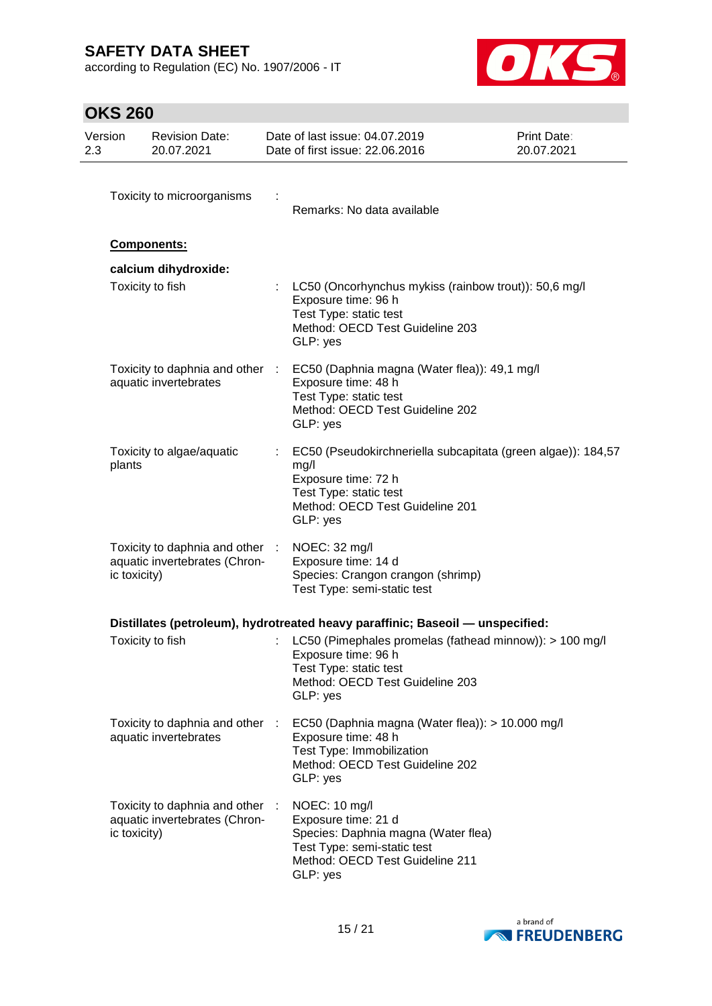according to Regulation (EC) No. 1907/2006 - IT



# **OKS 260**

| Version<br>2.3 |              | <b>Revision Date:</b><br>20.07.2021                              |   | Date of last issue: 04.07.2019<br>Date of first issue: 22.06.2016                                                                                                            | <b>Print Date:</b><br>20.07.2021 |
|----------------|--------------|------------------------------------------------------------------|---|------------------------------------------------------------------------------------------------------------------------------------------------------------------------------|----------------------------------|
|                |              | Toxicity to microorganisms                                       |   | Remarks: No data available                                                                                                                                                   |                                  |
|                |              | Components:                                                      |   |                                                                                                                                                                              |                                  |
|                |              | calcium dihydroxide:<br>Toxicity to fish                         |   | LC50 (Oncorhynchus mykiss (rainbow trout)): 50,6 mg/l<br>Exposure time: 96 h<br>Test Type: static test<br>Method: OECD Test Guideline 203<br>GLP: yes                        |                                  |
|                |              | aquatic invertebrates                                            |   | Toxicity to daphnia and other : EC50 (Daphnia magna (Water flea)): 49,1 mg/l<br>Exposure time: 48 h<br>Test Type: static test<br>Method: OECD Test Guideline 202<br>GLP: yes |                                  |
|                | plants       | Toxicity to algae/aquatic                                        |   | EC50 (Pseudokirchneriella subcapitata (green algae)): 184,57<br>mg/l<br>Exposure time: 72 h<br>Test Type: static test<br>Method: OECD Test Guideline 201<br>GLP: yes         |                                  |
|                | ic toxicity) | Toxicity to daphnia and other :<br>aquatic invertebrates (Chron- |   | NOEC: 32 mg/l<br>Exposure time: 14 d<br>Species: Crangon crangon (shrimp)<br>Test Type: semi-static test                                                                     |                                  |
|                |              |                                                                  |   | Distillates (petroleum), hydrotreated heavy paraffinic; Baseoil — unspecified:                                                                                               |                                  |
|                |              | Toxicity to fish                                                 |   | LC50 (Pimephales promelas (fathead minnow)): > 100 mg/l<br>Exposure time: 96 h<br>Test Type: static test<br>Method: OECD Test Guideline 203<br>GLP: yes                      |                                  |
|                |              | Toxicity to daphnia and other :<br>aquatic invertebrates         |   | EC50 (Daphnia magna (Water flea)): > 10.000 mg/l<br>Exposure time: 48 h<br>Test Type: Immobilization<br>Method: OECD Test Guideline 202<br>GLP: yes                          |                                  |
|                | ic toxicity) | Toxicity to daphnia and other<br>aquatic invertebrates (Chron-   | ÷ | NOEC: 10 mg/l<br>Exposure time: 21 d<br>Species: Daphnia magna (Water flea)<br>Test Type: semi-static test<br>Method: OECD Test Guideline 211<br>GLP: yes                    |                                  |

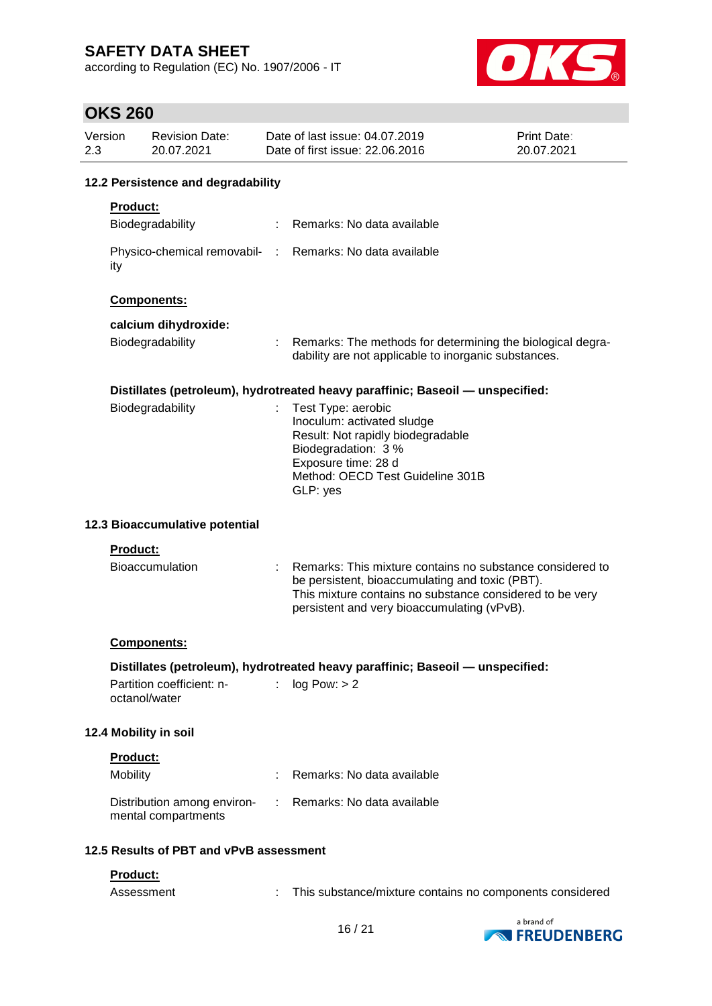according to Regulation (EC) No. 1907/2006 - IT



### **OKS 260**

| Version<br>2.3 |                                    | <b>Revision Date:</b><br>20.07.2021                |  | Date of last issue: 04.07.2019<br>Date of first issue: 22.06.2016                                                                                                                                                       | Print Date:<br>20.07.2021 |  |  |  |
|----------------|------------------------------------|----------------------------------------------------|--|-------------------------------------------------------------------------------------------------------------------------------------------------------------------------------------------------------------------------|---------------------------|--|--|--|
|                | 12.2 Persistence and degradability |                                                    |  |                                                                                                                                                                                                                         |                           |  |  |  |
|                | <b>Product:</b>                    |                                                    |  |                                                                                                                                                                                                                         |                           |  |  |  |
|                |                                    | Biodegradability                                   |  | Remarks: No data available                                                                                                                                                                                              |                           |  |  |  |
|                | ity                                |                                                    |  | Physico-chemical removabil- : Remarks: No data available                                                                                                                                                                |                           |  |  |  |
|                |                                    | Components:                                        |  |                                                                                                                                                                                                                         |                           |  |  |  |
|                |                                    | calcium dihydroxide:                               |  |                                                                                                                                                                                                                         |                           |  |  |  |
|                |                                    | Biodegradability                                   |  | Remarks: The methods for determining the biological degra-<br>dability are not applicable to inorganic substances.                                                                                                      |                           |  |  |  |
|                |                                    |                                                    |  | Distillates (petroleum), hydrotreated heavy paraffinic; Baseoil — unspecified:                                                                                                                                          |                           |  |  |  |
|                |                                    | Biodegradability                                   |  | Test Type: aerobic<br>Inoculum: activated sludge<br>Result: Not rapidly biodegradable<br>Biodegradation: 3 %<br>Exposure time: 28 d<br>Method: OECD Test Guideline 301B<br>GLP: yes                                     |                           |  |  |  |
|                |                                    | 12.3 Bioaccumulative potential                     |  |                                                                                                                                                                                                                         |                           |  |  |  |
|                | Product:                           |                                                    |  |                                                                                                                                                                                                                         |                           |  |  |  |
|                |                                    | <b>Bioaccumulation</b>                             |  | Remarks: This mixture contains no substance considered to<br>be persistent, bioaccumulating and toxic (PBT).<br>This mixture contains no substance considered to be very<br>persistent and very bioaccumulating (vPvB). |                           |  |  |  |
|                |                                    | <b>Components:</b>                                 |  |                                                                                                                                                                                                                         |                           |  |  |  |
|                |                                    | Partition coefficient: n-<br>octanol/water         |  | Distillates (petroleum), hydrotreated heavy paraffinic; Baseoil - unspecified:<br>log Pow: > 2                                                                                                                          |                           |  |  |  |
|                |                                    | 12.4 Mobility in soil                              |  |                                                                                                                                                                                                                         |                           |  |  |  |
|                | Product:                           |                                                    |  |                                                                                                                                                                                                                         |                           |  |  |  |
|                | Mobility                           |                                                    |  | Remarks: No data available                                                                                                                                                                                              |                           |  |  |  |
|                |                                    | Distribution among environ-<br>mental compartments |  | : Remarks: No data available                                                                                                                                                                                            |                           |  |  |  |
|                |                                    | 12.5 Results of PBT and vPvB assessment            |  |                                                                                                                                                                                                                         |                           |  |  |  |
|                | Product:<br>Assessment             |                                                    |  | This substance/mixture contains no components considered                                                                                                                                                                |                           |  |  |  |

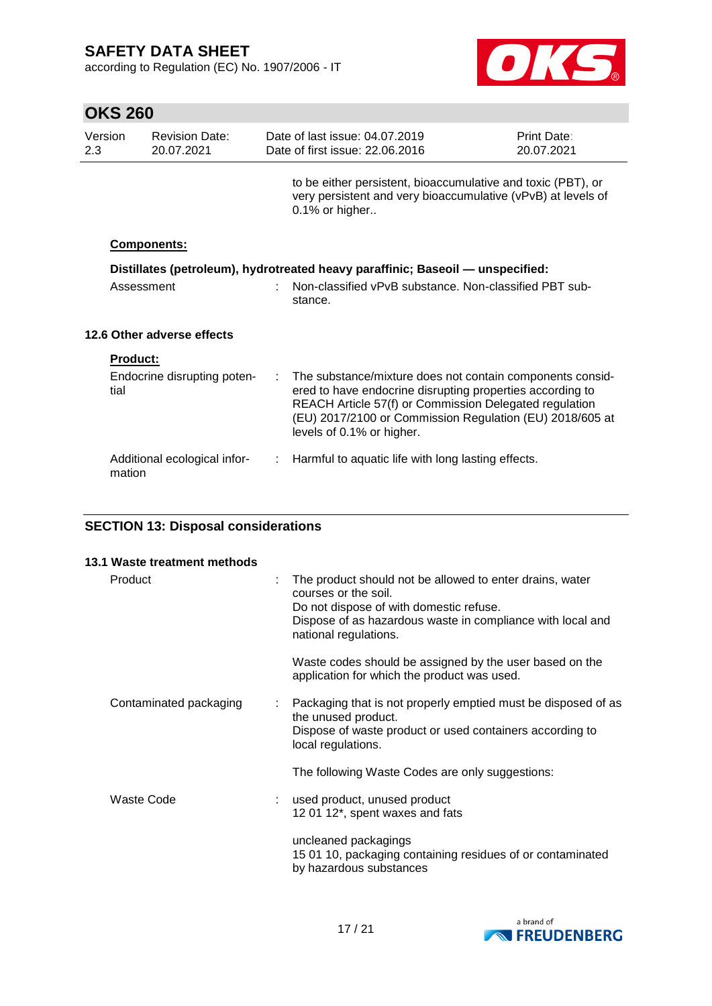according to Regulation (EC) No. 1907/2006 - IT



| <b>OKS 260</b> |                 |                                     |    |                                                                                                                                                                                                                                                                           |                           |
|----------------|-----------------|-------------------------------------|----|---------------------------------------------------------------------------------------------------------------------------------------------------------------------------------------------------------------------------------------------------------------------------|---------------------------|
| Version<br>2.3 |                 | <b>Revision Date:</b><br>20.07.2021 |    | Date of last issue: 04.07.2019<br>Date of first issue: 22.06.2016                                                                                                                                                                                                         | Print Date:<br>20.07.2021 |
|                |                 |                                     |    | to be either persistent, bioaccumulative and toxic (PBT), or<br>very persistent and very bioaccumulative (vPvB) at levels of<br>0.1% or higher                                                                                                                            |                           |
|                |                 | Components:                         |    |                                                                                                                                                                                                                                                                           |                           |
|                | Assessment      |                                     |    | Distillates (petroleum), hydrotreated heavy paraffinic; Baseoil — unspecified:<br>Non-classified vPvB substance. Non-classified PBT sub-<br>stance.                                                                                                                       |                           |
|                |                 | 12.6 Other adverse effects          |    |                                                                                                                                                                                                                                                                           |                           |
|                | <b>Product:</b> |                                     |    |                                                                                                                                                                                                                                                                           |                           |
|                | tial            | Endocrine disrupting poten-         | ÷. | The substance/mixture does not contain components consid-<br>ered to have endocrine disrupting properties according to<br>REACH Article 57(f) or Commission Delegated regulation<br>(EU) 2017/2100 or Commission Regulation (EU) 2018/605 at<br>levels of 0.1% or higher. |                           |
|                | mation          | Additional ecological infor-        | ÷  | Harmful to aquatic life with long lasting effects.                                                                                                                                                                                                                        |                           |

### **SECTION 13: Disposal considerations**

| 13.1 Waste treatment methods |                                                                                                                                                                                                                    |
|------------------------------|--------------------------------------------------------------------------------------------------------------------------------------------------------------------------------------------------------------------|
| Product                      | The product should not be allowed to enter drains, water<br>courses or the soil.<br>Do not dispose of with domestic refuse.<br>Dispose of as hazardous waste in compliance with local and<br>national regulations. |
|                              | Waste codes should be assigned by the user based on the<br>application for which the product was used.                                                                                                             |
| Contaminated packaging       | Packaging that is not properly emptied must be disposed of as<br>the unused product.<br>Dispose of waste product or used containers according to<br>local regulations.                                             |
|                              | The following Waste Codes are only suggestions:                                                                                                                                                                    |
| Waste Code                   | used product, unused product<br>12 01 12*, spent waxes and fats                                                                                                                                                    |
|                              | uncleaned packagings<br>15 01 10, packaging containing residues of or contaminated<br>by hazardous substances                                                                                                      |

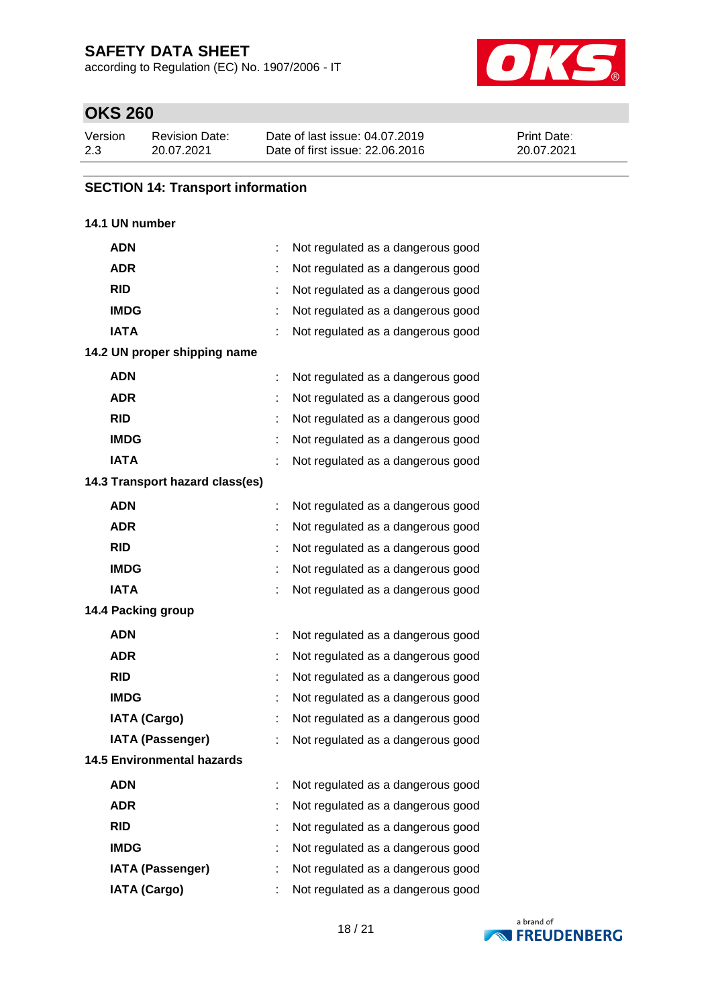according to Regulation (EC) No. 1907/2006 - IT



# **OKS 260**

| Version | <b>Revision Date:</b> | Date of last issue: 04.07.2019  | <b>Print Date:</b> |
|---------|-----------------------|---------------------------------|--------------------|
| 2.3     | 20.07.2021            | Date of first issue: 22,06,2016 | 20.07.2021         |

#### **SECTION 14: Transport information**

#### **14.1 UN number**

| <b>ADN</b>                        |   | Not regulated as a dangerous good |
|-----------------------------------|---|-----------------------------------|
| <b>ADR</b>                        |   | Not regulated as a dangerous good |
| <b>RID</b>                        | t | Not regulated as a dangerous good |
| <b>IMDG</b>                       |   | Not regulated as a dangerous good |
| <b>IATA</b>                       |   | Not regulated as a dangerous good |
| 14.2 UN proper shipping name      |   |                                   |
| <b>ADN</b>                        |   | Not regulated as a dangerous good |
| <b>ADR</b>                        |   | Not regulated as a dangerous good |
| <b>RID</b>                        |   | Not regulated as a dangerous good |
| <b>IMDG</b>                       |   | Not regulated as a dangerous good |
| <b>IATA</b>                       |   | Not regulated as a dangerous good |
| 14.3 Transport hazard class(es)   |   |                                   |
| <b>ADN</b>                        |   | Not regulated as a dangerous good |
| <b>ADR</b>                        |   | Not regulated as a dangerous good |
| <b>RID</b>                        | t | Not regulated as a dangerous good |
| <b>IMDG</b>                       |   | Not regulated as a dangerous good |
| <b>IATA</b>                       |   | Not regulated as a dangerous good |
| 14.4 Packing group                |   |                                   |
| <b>ADN</b>                        |   | Not regulated as a dangerous good |
| <b>ADR</b>                        |   | Not regulated as a dangerous good |
| <b>RID</b>                        | ÷ | Not regulated as a dangerous good |
| <b>IMDG</b>                       |   | Not regulated as a dangerous good |
| <b>IATA (Cargo)</b>               |   | Not regulated as a dangerous good |
| <b>IATA (Passenger)</b>           |   | Not regulated as a dangerous good |
| <b>14.5 Environmental hazards</b> |   |                                   |
| <b>ADN</b>                        |   | Not regulated as a dangerous good |
| <b>ADR</b>                        |   | Not regulated as a dangerous good |
| <b>RID</b>                        |   | Not regulated as a dangerous good |
| <b>IMDG</b>                       |   | Not regulated as a dangerous good |
| <b>IATA (Passenger)</b>           |   | Not regulated as a dangerous good |
| <b>IATA (Cargo)</b>               |   | Not regulated as a dangerous good |

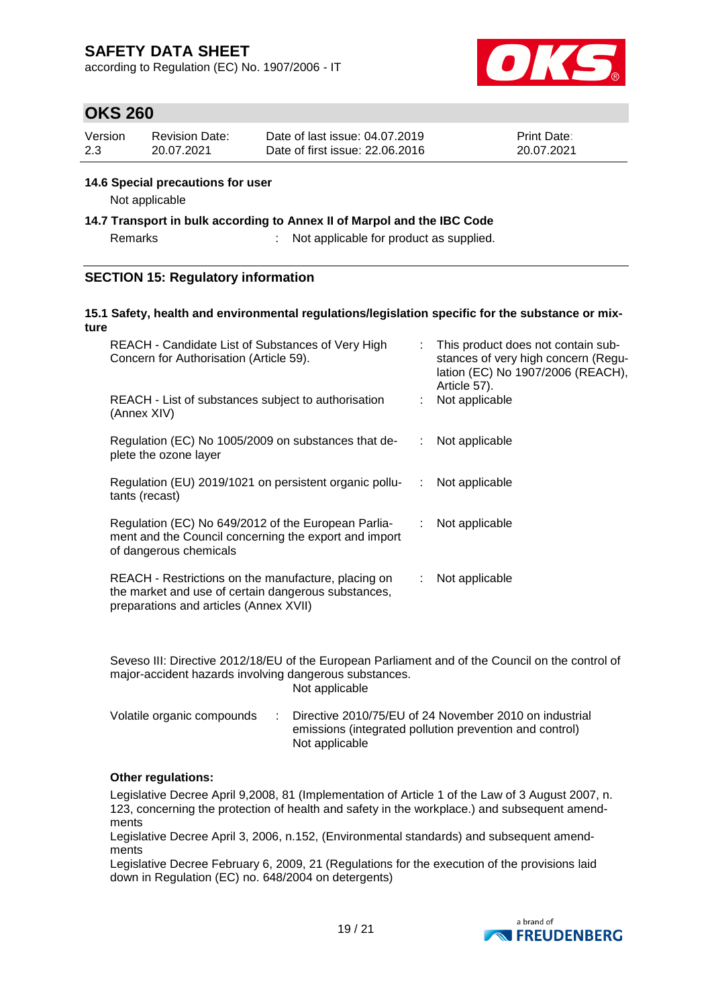according to Regulation (EC) No. 1907/2006 - IT



# **OKS 260**

| Version | Revision Date: | Date of last issue: 04.07.2019  | <b>Print Date:</b> |
|---------|----------------|---------------------------------|--------------------|
| -2.3    | 20.07.2021     | Date of first issue: 22,06,2016 | 20.07.2021         |

#### **14.6 Special precautions for user**

Not applicable

**14.7 Transport in bulk according to Annex II of Marpol and the IBC Code**

Remarks : Not applicable for product as supplied.

#### **SECTION 15: Regulatory information**

#### **15.1 Safety, health and environmental regulations/legislation specific for the substance or mixture**

| REACH - Candidate List of Substances of Very High<br>Concern for Authorisation (Article 59).                                                         | ÷.             | This product does not contain sub-<br>stances of very high concern (Regu-<br>lation (EC) No 1907/2006 (REACH),<br>Article 57). |
|------------------------------------------------------------------------------------------------------------------------------------------------------|----------------|--------------------------------------------------------------------------------------------------------------------------------|
| REACH - List of substances subject to authorisation<br>(Annex XIV)                                                                                   |                | Not applicable                                                                                                                 |
| Regulation (EC) No 1005/2009 on substances that de-<br>plete the ozone layer                                                                         |                | Not applicable                                                                                                                 |
| Regulation (EU) 2019/1021 on persistent organic pollu-<br>tants (recast)                                                                             | $\mathbb{Z}^n$ | Not applicable                                                                                                                 |
| Regulation (EC) No 649/2012 of the European Parlia-<br>ment and the Council concerning the export and import<br>of dangerous chemicals               | ÷.             | Not applicable                                                                                                                 |
| REACH - Restrictions on the manufacture, placing on<br>the market and use of certain dangerous substances,<br>preparations and articles (Annex XVII) | ÷.             | Not applicable                                                                                                                 |

Seveso III: Directive 2012/18/EU of the European Parliament and of the Council on the control of major-accident hazards involving dangerous substances. Not applicable

| Volatile organic compounds | Directive 2010/75/EU of 24 November 2010 on industrial  |
|----------------------------|---------------------------------------------------------|
|                            | emissions (integrated pollution prevention and control) |
|                            | Not applicable                                          |

#### **Other regulations:**

Legislative Decree April 9,2008, 81 (Implementation of Article 1 of the Law of 3 August 2007, n. 123, concerning the protection of health and safety in the workplace.) and subsequent amendments

Legislative Decree April 3, 2006, n.152, (Environmental standards) and subsequent amendments

Legislative Decree February 6, 2009, 21 (Regulations for the execution of the provisions laid down in Regulation (EC) no. 648/2004 on detergents)

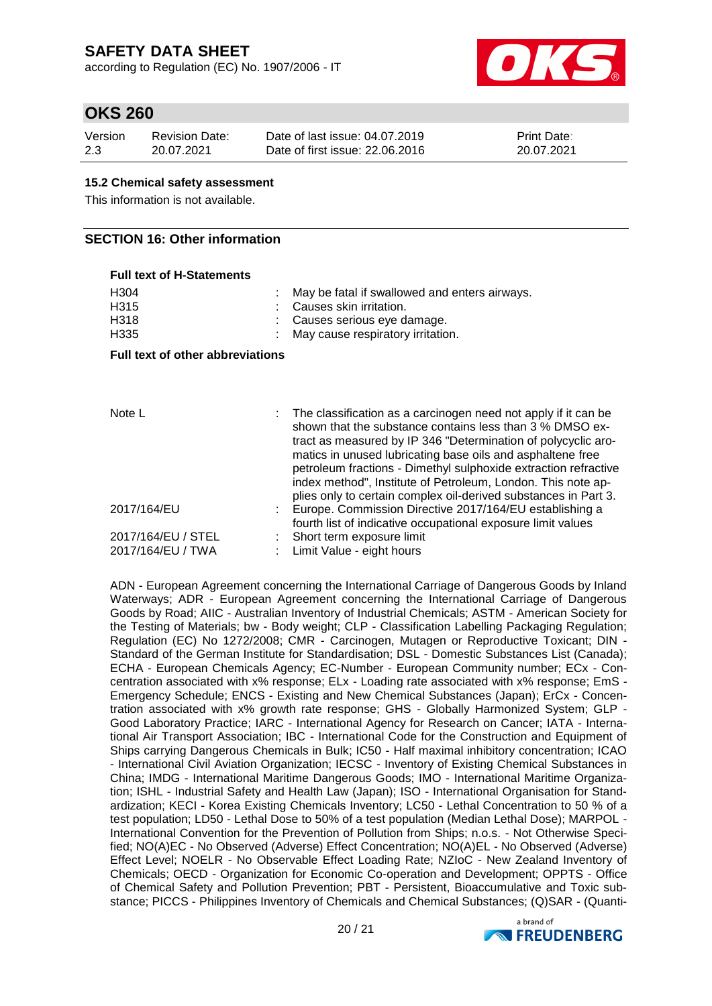according to Regulation (EC) No. 1907/2006 - IT



### **OKS 260**

| Version | <b>Revision Date:</b> | Date of last issue: 04.07.2019  | <b>Print Date:</b> |
|---------|-----------------------|---------------------------------|--------------------|
| 2.3     | 20.07.2021            | Date of first issue: 22,06,2016 | 20.07.2021         |

#### **15.2 Chemical safety assessment**

This information is not available.

#### **SECTION 16: Other information**

| <b>Full text of H-Statements</b>        |                                                                                                                                                                                                                                                             |
|-----------------------------------------|-------------------------------------------------------------------------------------------------------------------------------------------------------------------------------------------------------------------------------------------------------------|
| H <sub>304</sub>                        | May be fatal if swallowed and enters airways.                                                                                                                                                                                                               |
| H <sub>3</sub> 15                       | Causes skin irritation.                                                                                                                                                                                                                                     |
| H318                                    | Causes serious eye damage.                                                                                                                                                                                                                                  |
| H <sub>335</sub>                        | May cause respiratory irritation.                                                                                                                                                                                                                           |
| <b>Full text of other abbreviations</b> |                                                                                                                                                                                                                                                             |
|                                         |                                                                                                                                                                                                                                                             |
| Note L                                  | : The classification as a carcinogen need not apply if it can be<br>shown that the substance contains less than 3 % DMSO ex-<br>tract as measured by IP 346 "Determination of polycyclic aro-<br>matics in unused lubricating base oils and asphaltene free |
|                                         | petroleum fractions - Dimethyl sulphoxide extraction refractive<br>index method", Institute of Petroleum, London. This note ap-                                                                                                                             |
| $2017/164$ /FII                         | plies only to certain complex oil-derived substances in Part 3.<br>Europe, Commission Directive 2017/164/EU establishing a                                                                                                                                  |

| provided the correction of the provider when you also also also in the set |
|----------------------------------------------------------------------------|
| Europe. Commission Directive 2017/164/EU establishing a                    |
| fourth list of indicative occupational exposure limit values               |
| : Short term exposure limit                                                |
| : Limit Value - eight hours                                                |
|                                                                            |

ADN - European Agreement concerning the International Carriage of Dangerous Goods by Inland Waterways; ADR - European Agreement concerning the International Carriage of Dangerous Goods by Road; AIIC - Australian Inventory of Industrial Chemicals; ASTM - American Society for the Testing of Materials; bw - Body weight; CLP - Classification Labelling Packaging Regulation; Regulation (EC) No 1272/2008; CMR - Carcinogen, Mutagen or Reproductive Toxicant; DIN - Standard of the German Institute for Standardisation; DSL - Domestic Substances List (Canada); ECHA - European Chemicals Agency; EC-Number - European Community number; ECx - Concentration associated with x% response; ELx - Loading rate associated with x% response; EmS - Emergency Schedule; ENCS - Existing and New Chemical Substances (Japan); ErCx - Concentration associated with x% growth rate response; GHS - Globally Harmonized System; GLP - Good Laboratory Practice; IARC - International Agency for Research on Cancer; IATA - International Air Transport Association; IBC - International Code for the Construction and Equipment of Ships carrying Dangerous Chemicals in Bulk; IC50 - Half maximal inhibitory concentration; ICAO - International Civil Aviation Organization; IECSC - Inventory of Existing Chemical Substances in China; IMDG - International Maritime Dangerous Goods; IMO - International Maritime Organization; ISHL - Industrial Safety and Health Law (Japan); ISO - International Organisation for Standardization; KECI - Korea Existing Chemicals Inventory; LC50 - Lethal Concentration to 50 % of a test population; LD50 - Lethal Dose to 50% of a test population (Median Lethal Dose); MARPOL - International Convention for the Prevention of Pollution from Ships; n.o.s. - Not Otherwise Specified; NO(A)EC - No Observed (Adverse) Effect Concentration; NO(A)EL - No Observed (Adverse) Effect Level; NOELR - No Observable Effect Loading Rate; NZIoC - New Zealand Inventory of Chemicals; OECD - Organization for Economic Co-operation and Development; OPPTS - Office of Chemical Safety and Pollution Prevention; PBT - Persistent, Bioaccumulative and Toxic substance; PICCS - Philippines Inventory of Chemicals and Chemical Substances; (Q)SAR - (Quanti-